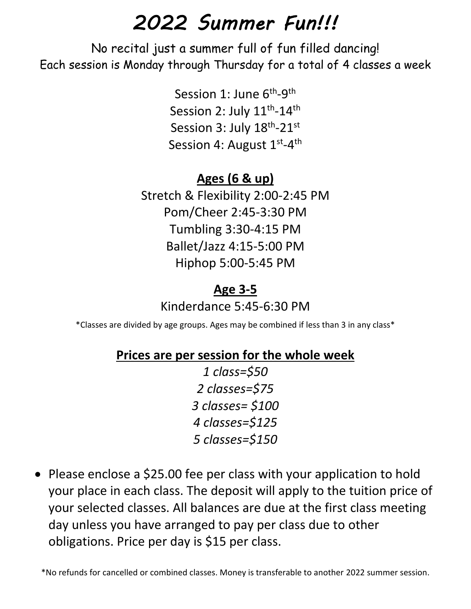# *2022 Summer Fun!!!*

No recital just a summer full of fun filled dancing! Each session is Monday through Thursday for a total of 4 classes a week

> Session 1: June 6<sup>th</sup>-9<sup>th</sup> Session 2: July 11<sup>th</sup>-14<sup>th</sup> Session 3: July 18<sup>th</sup>-21<sup>st</sup> Session 4: August 1<sup>st</sup>-4<sup>th</sup>

#### **Ages (6 & up)**

Stretch & Flexibility 2:00-2:45 PM Pom/Cheer 2:45-3:30 PM Tumbling 3:30-4:15 PM Ballet/Jazz 4:15-5:00 PM Hiphop 5:00-5:45 PM

#### **Age 3-5**

Kinderdance 5:45-6:30 PM

\*Classes are divided by age groups. Ages may be combined if less than 3 in any class\*

#### **Prices are per session for the whole week**

*1 class=\$50 2 classes=\$75 3 classes= \$100 4 classes=\$125 5 classes=\$150*

• Please enclose a \$25.00 fee per class with your application to hold your place in each class. The deposit will apply to the tuition price of your selected classes. All balances are due at the first class meeting day unless you have arranged to pay per class due to other obligations. Price per day is \$15 per class.

\*No refunds for cancelled or combined classes. Money is transferable to another 2022 summer session.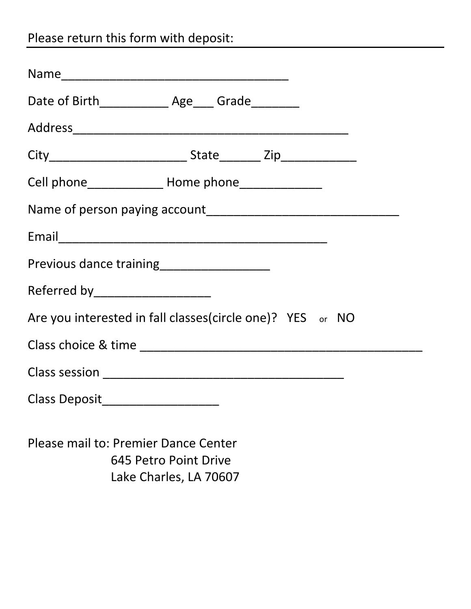Please return this form with deposit:

| Cell phone_________________ Home phone________________    |  |  |  |  |  |
|-----------------------------------------------------------|--|--|--|--|--|
|                                                           |  |  |  |  |  |
|                                                           |  |  |  |  |  |
| Previous dance training<br>Frevious dance training        |  |  |  |  |  |
| Referred by ____________________                          |  |  |  |  |  |
| Are you interested in fall classes(circle one)? YES or NO |  |  |  |  |  |
|                                                           |  |  |  |  |  |
|                                                           |  |  |  |  |  |
| Class Deposit_____________________                        |  |  |  |  |  |
|                                                           |  |  |  |  |  |

Please mail to: Premier Dance Center 645 Petro Point Drive Lake Charles, LA 70607